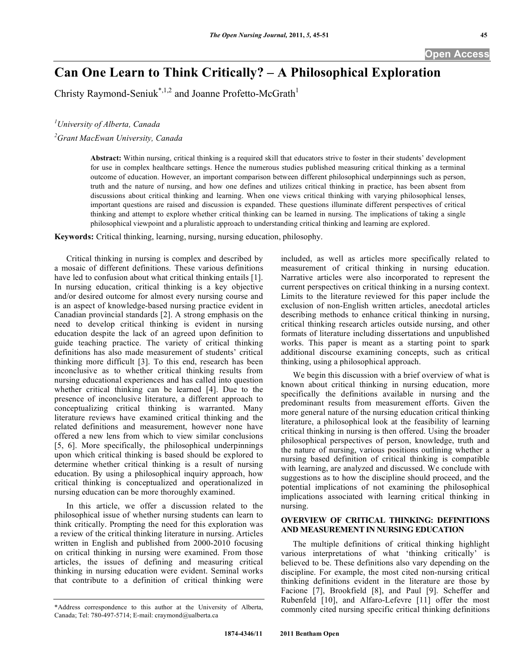**Open Access** 

# **Can One Learn to Think Critically? – A Philosophical Exploration**

Christy Raymond-Seniuk<sup>\*,1,2</sup> and Joanne Profetto-McGrath<sup>1</sup>

*1 University of Alberta, Canada* 

*2 Grant MacEwan University, Canada* 

**Abstract:** Within nursing, critical thinking is a required skill that educators strive to foster in their students' development for use in complex healthcare settings. Hence the numerous studies published measuring critical thinking as a terminal outcome of education. However, an important comparison between different philosophical underpinnings such as person, truth and the nature of nursing, and how one defines and utilizes critical thinking in practice, has been absent from discussions about critical thinking and learning. When one views critical thinking with varying philosophical lenses, important questions are raised and discussion is expanded. These questions illuminate different perspectives of critical thinking and attempt to explore whether critical thinking can be learned in nursing. The implications of taking a single philosophical viewpoint and a pluralistic approach to understanding critical thinking and learning are explored.

**Keywords:** Critical thinking, learning, nursing, nursing education, philosophy.

 Critical thinking in nursing is complex and described by a mosaic of different definitions. These various definitions have led to confusion about what critical thinking entails [1]. In nursing education, critical thinking is a key objective and/or desired outcome for almost every nursing course and is an aspect of knowledge-based nursing practice evident in Canadian provincial standards [2]. A strong emphasis on the need to develop critical thinking is evident in nursing education despite the lack of an agreed upon definition to guide teaching practice. The variety of critical thinking definitions has also made measurement of students' critical thinking more difficult [3]. To this end, research has been inconclusive as to whether critical thinking results from nursing educational experiences and has called into question whether critical thinking can be learned [4]. Due to the presence of inconclusive literature, a different approach to conceptualizing critical thinking is warranted. Many literature reviews have examined critical thinking and the related definitions and measurement, however none have offered a new lens from which to view similar conclusions [5, 6]. More specifically, the philosophical underpinnings upon which critical thinking is based should be explored to determine whether critical thinking is a result of nursing education. By using a philosophical inquiry approach, how critical thinking is conceptualized and operationalized in nursing education can be more thoroughly examined.

 In this article, we offer a discussion related to the philosophical issue of whether nursing students can learn to think critically. Prompting the need for this exploration was a review of the critical thinking literature in nursing. Articles written in English and published from 2000-2010 focusing on critical thinking in nursing were examined. From those articles, the issues of defining and measuring critical thinking in nursing education were evident. Seminal works that contribute to a definition of critical thinking were

included, as well as articles more specifically related to measurement of critical thinking in nursing education. Narrative articles were also incorporated to represent the current perspectives on critical thinking in a nursing context. Limits to the literature reviewed for this paper include the exclusion of non-English written articles, anecdotal articles describing methods to enhance critical thinking in nursing, critical thinking research articles outside nursing, and other formats of literature including dissertations and unpublished works. This paper is meant as a starting point to spark additional discourse examining concepts, such as critical thinking, using a philosophical approach.

 We begin this discussion with a brief overview of what is known about critical thinking in nursing education, more specifically the definitions available in nursing and the predominant results from measurement efforts. Given the more general nature of the nursing education critical thinking literature, a philosophical look at the feasibility of learning critical thinking in nursing is then offered. Using the broader philosophical perspectives of person, knowledge, truth and the nature of nursing, various positions outlining whether a nursing based definition of critical thinking is compatible with learning, are analyzed and discussed. We conclude with suggestions as to how the discipline should proceed, and the potential implications of not examining the philosophical implications associated with learning critical thinking in nursing.

### **OVERVIEW OF CRITICAL THINKING: DEFINITIONS AND MEASUREMENT IN NURSING EDUCATION**

 The multiple definitions of critical thinking highlight various interpretations of what 'thinking critically' is believed to be. These definitions also vary depending on the discipline. For example, the most cited non-nursing critical thinking definitions evident in the literature are those by Facione [7], Brookfield [8], and Paul [9]. Scheffer and Rubenfeld [10], and Alfaro-Lefevre [11] offer the most commonly cited nursing specific critical thinking definitions

<sup>\*</sup>Address correspondence to this author at the University of Alberta, Canada; Tel: 780-497-5714; E-mail: craymond@ualberta.ca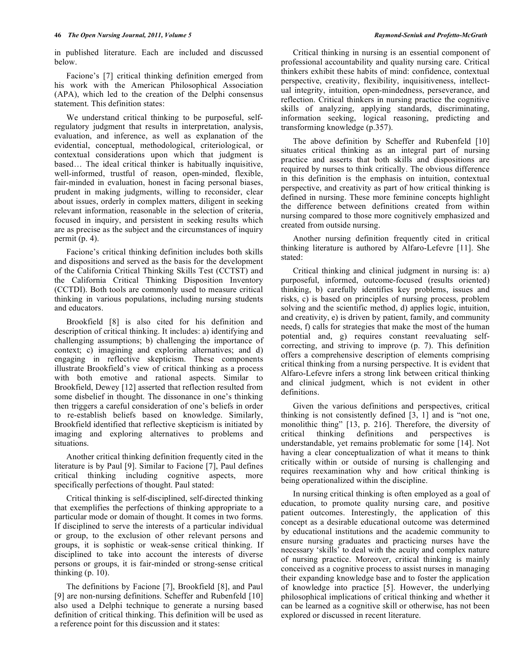in published literature. Each are included and discussed below.

 Facione's [7] critical thinking definition emerged from his work with the American Philosophical Association (APA), which led to the creation of the Delphi consensus statement. This definition states:

 We understand critical thinking to be purposeful, selfregulatory judgment that results in interpretation, analysis, evaluation, and inference, as well as explanation of the evidential, conceptual, methodological, criteriological, or contextual considerations upon which that judgment is based… The ideal critical thinker is habitually inquisitive, well-informed, trustful of reason, open-minded, flexible, fair-minded in evaluation, honest in facing personal biases, prudent in making judgments, willing to reconsider, clear about issues, orderly in complex matters, diligent in seeking relevant information, reasonable in the selection of criteria, focused in inquiry, and persistent in seeking results which are as precise as the subject and the circumstances of inquiry permit (p. 4).

 Facione's critical thinking definition includes both skills and dispositions and served as the basis for the development of the California Critical Thinking Skills Test (CCTST) and the California Critical Thinking Disposition Inventory (CCTDI). Both tools are commonly used to measure critical thinking in various populations, including nursing students and educators.

 Brookfield [8] is also cited for his definition and description of critical thinking. It includes: a) identifying and challenging assumptions; b) challenging the importance of context; c) imagining and exploring alternatives; and d) engaging in reflective skepticism. These components illustrate Brookfield's view of critical thinking as a process with both emotive and rational aspects. Similar to Brookfield, Dewey [12] asserted that reflection resulted from some disbelief in thought. The dissonance in one's thinking then triggers a careful consideration of one's beliefs in order to re-establish beliefs based on knowledge. Similarly, Brookfield identified that reflective skepticism is initiated by imaging and exploring alternatives to problems and situations.

 Another critical thinking definition frequently cited in the literature is by Paul [9]. Similar to Facione [7], Paul defines critical thinking including cognitive aspects, more specifically perfections of thought. Paul stated:

 Critical thinking is self-disciplined, self-directed thinking that exemplifies the perfections of thinking appropriate to a particular mode or domain of thought. It comes in two forms. If disciplined to serve the interests of a particular individual or group, to the exclusion of other relevant persons and groups, it is sophistic or weak-sense critical thinking. If disciplined to take into account the interests of diverse persons or groups, it is fair-minded or strong-sense critical thinking  $(p. 10)$ .

 The definitions by Facione [7], Brookfield [8], and Paul [9] are non-nursing definitions. Scheffer and Rubenfeld [10] also used a Delphi technique to generate a nursing based definition of critical thinking. This definition will be used as a reference point for this discussion and it states:

 Critical thinking in nursing is an essential component of professional accountability and quality nursing care. Critical thinkers exhibit these habits of mind: confidence, contextual perspective, creativity, flexibility, inquisitiveness, intellectual integrity, intuition, open-mindedness, perseverance, and reflection. Critical thinkers in nursing practice the cognitive skills of analyzing, applying standards, discriminating, information seeking, logical reasoning, predicting and transforming knowledge (p.357).

 The above definition by Scheffer and Rubenfeld [10] situates critical thinking as an integral part of nursing practice and asserts that both skills and dispositions are required by nurses to think critically. The obvious difference in this definition is the emphasis on intuition, contextual perspective, and creativity as part of how critical thinking is defined in nursing. These more feminine concepts highlight the difference between definitions created from within nursing compared to those more cognitively emphasized and created from outside nursing.

 Another nursing definition frequently cited in critical thinking literature is authored by Alfaro-Lefevre [11]. She stated:

 Critical thinking and clinical judgment in nursing is: a) purposeful, informed, outcome-focused (results oriented) thinking, b) carefully identifies key problems, issues and risks, c) is based on principles of nursing process, problem solving and the scientific method, d) applies logic, intuition, and creativity, e) is driven by patient, family, and community needs, f) calls for strategies that make the most of the human potential and, g) requires constant reevaluating selfcorrecting, and striving to improve (p. 7). This definition offers a comprehensive description of elements comprising critical thinking from a nursing perspective. It is evident that Alfaro-Lefevre infers a strong link between critical thinking and clinical judgment, which is not evident in other definitions.

 Given the various definitions and perspectives, critical thinking is not consistently defined [3, 1] and is "not one, monolithic thing" [13, p. 216]. Therefore, the diversity of critical thinking definitions and perspectives is understandable, yet remains problematic for some [14]. Not having a clear conceptualization of what it means to think critically within or outside of nursing is challenging and requires reexamination why and how critical thinking is being operationalized within the discipline.

 In nursing critical thinking is often employed as a goal of education, to promote quality nursing care, and positive patient outcomes. Interestingly, the application of this concept as a desirable educational outcome was determined by educational institutions and the academic community to ensure nursing graduates and practicing nurses have the necessary 'skills' to deal with the acuity and complex nature of nursing practice. Moreover, critical thinking is mainly conceived as a cognitive process to assist nurses in managing their expanding knowledge base and to foster the application of knowledge into practice [5]. However, the underlying philosophical implications of critical thinking and whether it can be learned as a cognitive skill or otherwise, has not been explored or discussed in recent literature.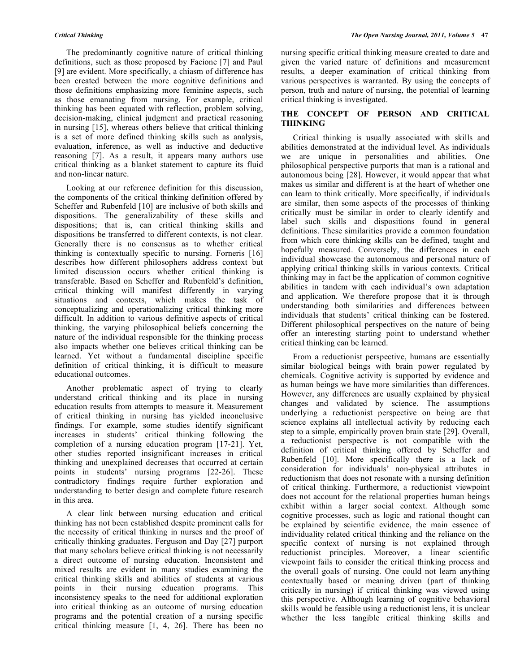The predominantly cognitive nature of critical thinking definitions, such as those proposed by Facione [7] and Paul [9] are evident. More specifically, a chiasm of difference has been created between the more cognitive definitions and those definitions emphasizing more feminine aspects, such as those emanating from nursing. For example, critical thinking has been equated with reflection, problem solving, decision-making, clinical judgment and practical reasoning in nursing [15], whereas others believe that critical thinking is a set of more defined thinking skills such as analysis, evaluation, inference, as well as inductive and deductive reasoning [7]. As a result, it appears many authors use critical thinking as a blanket statement to capture its fluid and non-linear nature.

 Looking at our reference definition for this discussion, the components of the critical thinking definition offered by Scheffer and Rubenfeld [10] are inclusive of both skills and dispositions. The generalizability of these skills and dispositions; that is, can critical thinking skills and dispositions be transferred to different contexts, is not clear. Generally there is no consensus as to whether critical thinking is contextually specific to nursing. Forneris [16] describes how different philosophers address context but limited discussion occurs whether critical thinking is transferable. Based on Scheffer and Rubenfeld's definition, critical thinking will manifest differently in varying situations and contexts, which makes the task of conceptualizing and operationalizing critical thinking more difficult. In addition to various definitive aspects of critical thinking, the varying philosophical beliefs concerning the nature of the individual responsible for the thinking process also impacts whether one believes critical thinking can be learned. Yet without a fundamental discipline specific definition of critical thinking, it is difficult to measure educational outcomes.

 Another problematic aspect of trying to clearly understand critical thinking and its place in nursing education results from attempts to measure it. Measurement of critical thinking in nursing has yielded inconclusive findings. For example, some studies identify significant increases in students' critical thinking following the completion of a nursing education program [17-21]. Yet, other studies reported insignificant increases in critical thinking and unexplained decreases that occurred at certain points in students' nursing programs [22-26]. These contradictory findings require further exploration and understanding to better design and complete future research in this area.

 A clear link between nursing education and critical thinking has not been established despite prominent calls for the necessity of critical thinking in nurses and the proof of critically thinking graduates. Ferguson and Day [27] purport that many scholars believe critical thinking is not necessarily a direct outcome of nursing education. Inconsistent and mixed results are evident in many studies examining the critical thinking skills and abilities of students at various points in their nursing education programs. This inconsistency speaks to the need for additional exploration into critical thinking as an outcome of nursing education programs and the potential creation of a nursing specific critical thinking measure [1, 4, 26]. There has been no

nursing specific critical thinking measure created to date and given the varied nature of definitions and measurement results, a deeper examination of critical thinking from various perspectives is warranted. By using the concepts of person, truth and nature of nursing, the potential of learning critical thinking is investigated.

#### **THE CONCEPT OF PERSON AND CRITICAL THINKING**

 Critical thinking is usually associated with skills and abilities demonstrated at the individual level. As individuals we are unique in personalities and abilities. One philosophical perspective purports that man is a rational and autonomous being [28]. However, it would appear that what makes us similar and different is at the heart of whether one can learn to think critically. More specifically, if individuals are similar, then some aspects of the processes of thinking critically must be similar in order to clearly identify and label such skills and dispositions found in general definitions. These similarities provide a common foundation from which core thinking skills can be defined, taught and hopefully measured. Conversely, the differences in each individual showcase the autonomous and personal nature of applying critical thinking skills in various contexts. Critical thinking may in fact be the application of common cognitive abilities in tandem with each individual's own adaptation and application. We therefore propose that it is through understanding both similarities and differences between individuals that students' critical thinking can be fostered. Different philosophical perspectives on the nature of being offer an interesting starting point to understand whether critical thinking can be learned.

 From a reductionist perspective, humans are essentially similar biological beings with brain power regulated by chemicals. Cognitive activity is supported by evidence and as human beings we have more similarities than differences. However, any differences are usually explained by physical changes and validated by science. The assumptions underlying a reductionist perspective on being are that science explains all intellectual activity by reducing each step to a simple, empirically proven brain state [29]. Overall, a reductionist perspective is not compatible with the definition of critical thinking offered by Scheffer and Rubenfeld [10]. More specifically there is a lack of consideration for individuals' non-physical attributes in reductionism that does not resonate with a nursing definition of critical thinking. Furthermore, a reductionist viewpoint does not account for the relational properties human beings exhibit within a larger social context. Although some cognitive processes, such as logic and rational thought can be explained by scientific evidence, the main essence of individuality related critical thinking and the reliance on the specific context of nursing is not explained through reductionist principles. Moreover, a linear scientific viewpoint fails to consider the critical thinking process and the overall goals of nursing. One could not learn anything contextually based or meaning driven (part of thinking critically in nursing) if critical thinking was viewed using this perspective. Although learning of cognitive behavioral skills would be feasible using a reductionist lens, it is unclear whether the less tangible critical thinking skills and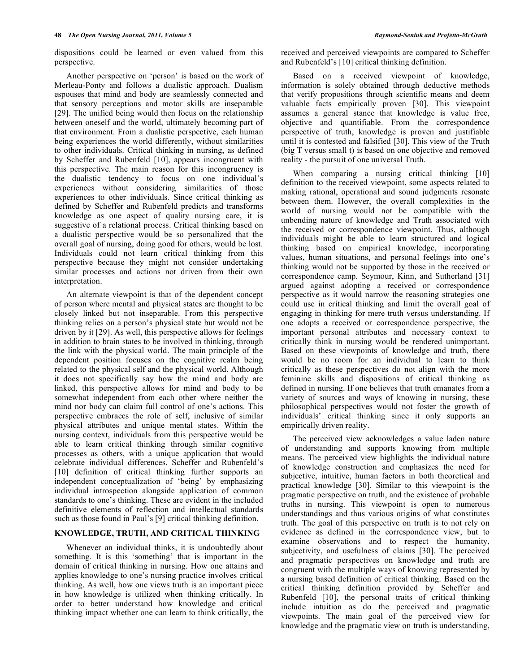dispositions could be learned or even valued from this perspective.

 Another perspective on 'person' is based on the work of Merleau-Ponty and follows a dualistic approach. Dualism espouses that mind and body are seamlessly connected and that sensory perceptions and motor skills are inseparable [29]. The unified being would then focus on the relationship between oneself and the world, ultimately becoming part of that environment. From a dualistic perspective, each human being experiences the world differently, without similarities to other individuals. Critical thinking in nursing, as defined by Scheffer and Rubenfeld [10], appears incongruent with this perspective. The main reason for this incongruency is the dualistic tendency to focus on one individual's experiences without considering similarities of those experiences to other individuals. Since critical thinking as defined by Scheffer and Rubenfeld predicts and transforms knowledge as one aspect of quality nursing care, it is suggestive of a relational process. Critical thinking based on a dualistic perspective would be so personalized that the overall goal of nursing, doing good for others, would be lost. Individuals could not learn critical thinking from this perspective because they might not consider undertaking similar processes and actions not driven from their own interpretation.

 An alternate viewpoint is that of the dependent concept of person where mental and physical states are thought to be closely linked but not inseparable. From this perspective thinking relies on a person's physical state but would not be driven by it [29]. As well, this perspective allows for feelings in addition to brain states to be involved in thinking, through the link with the physical world. The main principle of the dependent position focuses on the cognitive realm being related to the physical self and the physical world. Although it does not specifically say how the mind and body are linked, this perspective allows for mind and body to be somewhat independent from each other where neither the mind nor body can claim full control of one's actions. This perspective embraces the role of self, inclusive of similar physical attributes and unique mental states. Within the nursing context, individuals from this perspective would be able to learn critical thinking through similar cognitive processes as others, with a unique application that would celebrate individual differences. Scheffer and Rubenfeld's [10] definition of critical thinking further supports an independent conceptualization of 'being' by emphasizing individual introspection alongside application of common standards to one's thinking. These are evident in the included definitive elements of reflection and intellectual standards such as those found in Paul's [9] critical thinking definition.

### **KNOWLEDGE, TRUTH, AND CRITICAL THINKING**

 Whenever an individual thinks, it is undoubtedly about something. It is this 'something' that is important in the domain of critical thinking in nursing. How one attains and applies knowledge to one's nursing practice involves critical thinking. As well, how one views truth is an important piece in how knowledge is utilized when thinking critically. In order to better understand how knowledge and critical thinking impact whether one can learn to think critically, the

received and perceived viewpoints are compared to Scheffer and Rubenfeld's [10] critical thinking definition.

 Based on a received viewpoint of knowledge, information is solely obtained through deductive methods that verify propositions through scientific means and deem valuable facts empirically proven [30]. This viewpoint assumes a general stance that knowledge is value free, objective and quantifiable. From the correspondence perspective of truth, knowledge is proven and justifiable until it is contested and falsified [30]. This view of the Truth (big T versus small t) is based on one objective and removed reality - the pursuit of one universal Truth.

When comparing a nursing critical thinking [10] definition to the received viewpoint, some aspects related to making rational, operational and sound judgments resonate between them. However, the overall complexities in the world of nursing would not be compatible with the unbending nature of knowledge and Truth associated with the received or correspondence viewpoint. Thus, although individuals might be able to learn structured and logical thinking based on empirical knowledge, incorporating values, human situations, and personal feelings into one's thinking would not be supported by those in the received or correspondence camp. Seymour, Kinn, and Sutherland [31] argued against adopting a received or correspondence perspective as it would narrow the reasoning strategies one could use in critical thinking and limit the overall goal of engaging in thinking for mere truth versus understanding. If one adopts a received or correspondence perspective, the important personal attributes and necessary context to critically think in nursing would be rendered unimportant. Based on these viewpoints of knowledge and truth, there would be no room for an individual to learn to think critically as these perspectives do not align with the more feminine skills and dispositions of critical thinking as defined in nursing. If one believes that truth emanates from a variety of sources and ways of knowing in nursing, these philosophical perspectives would not foster the growth of individuals' critical thinking since it only supports an empirically driven reality.

 The perceived view acknowledges a value laden nature of understanding and supports knowing from multiple means. The perceived view highlights the individual nature of knowledge construction and emphasizes the need for subjective, intuitive, human factors in both theoretical and practical knowledge [30]. Similar to this viewpoint is the pragmatic perspective on truth, and the existence of probable truths in nursing. This viewpoint is open to numerous understandings and thus various origins of what constitutes truth. The goal of this perspective on truth is to not rely on evidence as defined in the correspondence view, but to examine observations and to respect the humanity, subjectivity, and usefulness of claims [30]. The perceived and pragmatic perspectives on knowledge and truth are congruent with the multiple ways of knowing represented by a nursing based definition of critical thinking. Based on the critical thinking definition provided by Scheffer and Rubenfeld [10], the personal traits of critical thinking include intuition as do the perceived and pragmatic viewpoints. The main goal of the perceived view for knowledge and the pragmatic view on truth is understanding,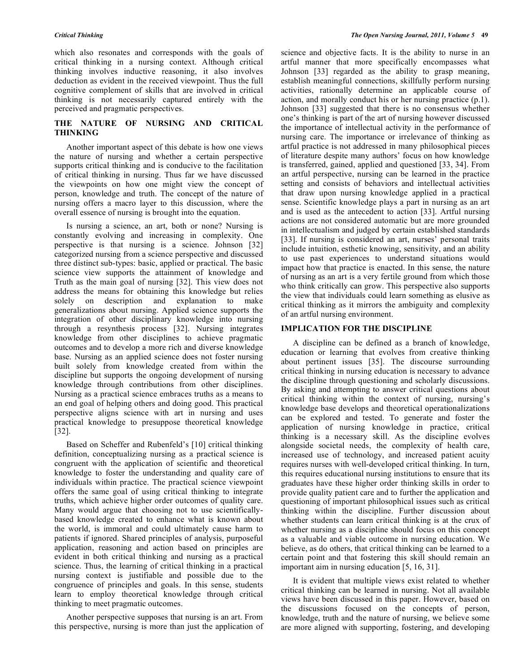which also resonates and corresponds with the goals of critical thinking in a nursing context. Although critical thinking involves inductive reasoning, it also involves deduction as evident in the received viewpoint. Thus the full cognitive complement of skills that are involved in critical thinking is not necessarily captured entirely with the perceived and pragmatic perspectives.

## **THE NATURE OF NURSING AND CRITICAL THINKING**

 Another important aspect of this debate is how one views the nature of nursing and whether a certain perspective supports critical thinking and is conducive to the facilitation of critical thinking in nursing. Thus far we have discussed the viewpoints on how one might view the concept of person, knowledge and truth. The concept of the nature of nursing offers a macro layer to this discussion, where the overall essence of nursing is brought into the equation.

 Is nursing a science, an art, both or none? Nursing is constantly evolving and increasing in complexity. One perspective is that nursing is a science. Johnson [32] categorized nursing from a science perspective and discussed three distinct sub-types: basic, applied or practical. The basic science view supports the attainment of knowledge and Truth as the main goal of nursing [32]. This view does not address the means for obtaining this knowledge but relies solely on description and explanation to make generalizations about nursing. Applied science supports the integration of other disciplinary knowledge into nursing through a resynthesis process [32]. Nursing integrates knowledge from other disciplines to achieve pragmatic outcomes and to develop a more rich and diverse knowledge base. Nursing as an applied science does not foster nursing built solely from knowledge created from within the discipline but supports the ongoing development of nursing knowledge through contributions from other disciplines. Nursing as a practical science embraces truths as a means to an end goal of helping others and doing good. This practical perspective aligns science with art in nursing and uses practical knowledge to presuppose theoretical knowledge [32].

 Based on Scheffer and Rubenfeld's [10] critical thinking definition, conceptualizing nursing as a practical science is congruent with the application of scientific and theoretical knowledge to foster the understanding and quality care of individuals within practice. The practical science viewpoint offers the same goal of using critical thinking to integrate truths, which achieve higher order outcomes of quality care. Many would argue that choosing not to use scientificallybased knowledge created to enhance what is known about the world, is immoral and could ultimately cause harm to patients if ignored. Shared principles of analysis, purposeful application, reasoning and action based on principles are evident in both critical thinking and nursing as a practical science. Thus, the learning of critical thinking in a practical nursing context is justifiable and possible due to the congruence of principles and goals. In this sense, students learn to employ theoretical knowledge through critical thinking to meet pragmatic outcomes.

 Another perspective supposes that nursing is an art. From this perspective, nursing is more than just the application of science and objective facts. It is the ability to nurse in an artful manner that more specifically encompasses what Johnson [33] regarded as the ability to grasp meaning, establish meaningful connections, skillfully perform nursing activities, rationally determine an applicable course of action, and morally conduct his or her nursing practice (p.1). Johnson [33] suggested that there is no consensus whether one's thinking is part of the art of nursing however discussed the importance of intellectual activity in the performance of nursing care. The importance or irrelevance of thinking as artful practice is not addressed in many philosophical pieces of literature despite many authors' focus on how knowledge is transferred, gained, applied and questioned [33, 34]. From an artful perspective, nursing can be learned in the practice setting and consists of behaviors and intellectual activities that draw upon nursing knowledge applied in a practical sense. Scientific knowledge plays a part in nursing as an art and is used as the antecedent to action [33]. Artful nursing actions are not considered automatic but are more grounded in intellectualism and judged by certain established standards [33]. If nursing is considered an art, nurses' personal traits include intuition, esthetic knowing, sensitivity, and an ability to use past experiences to understand situations would impact how that practice is enacted. In this sense, the nature of nursing as an art is a very fertile ground from which those who think critically can grow. This perspective also supports the view that individuals could learn something as elusive as critical thinking as it mirrors the ambiguity and complexity of an artful nursing environment.

#### **IMPLICATION FOR THE DISCIPLINE**

 A discipline can be defined as a branch of knowledge, education or learning that evolves from creative thinking about pertinent issues [35]. The discourse surrounding critical thinking in nursing education is necessary to advance the discipline through questioning and scholarly discussions. By asking and attempting to answer critical questions about critical thinking within the context of nursing, nursing's knowledge base develops and theoretical operationalizations can be explored and tested. To generate and foster the application of nursing knowledge in practice, critical thinking is a necessary skill. As the discipline evolves alongside societal needs, the complexity of health care, increased use of technology, and increased patient acuity requires nurses with well-developed critical thinking. In turn, this requires educational nursing institutions to ensure that its graduates have these higher order thinking skills in order to provide quality patient care and to further the application and questioning of important philosophical issues such as critical thinking within the discipline. Further discussion about whether students can learn critical thinking is at the crux of whether nursing as a discipline should focus on this concept as a valuable and viable outcome in nursing education. We believe, as do others, that critical thinking can be learned to a certain point and that fostering this skill should remain an important aim in nursing education [5, 16, 31].

 It is evident that multiple views exist related to whether critical thinking can be learned in nursing. Not all available views have been discussed in this paper. However, based on the discussions focused on the concepts of person, knowledge, truth and the nature of nursing, we believe some are more aligned with supporting, fostering, and developing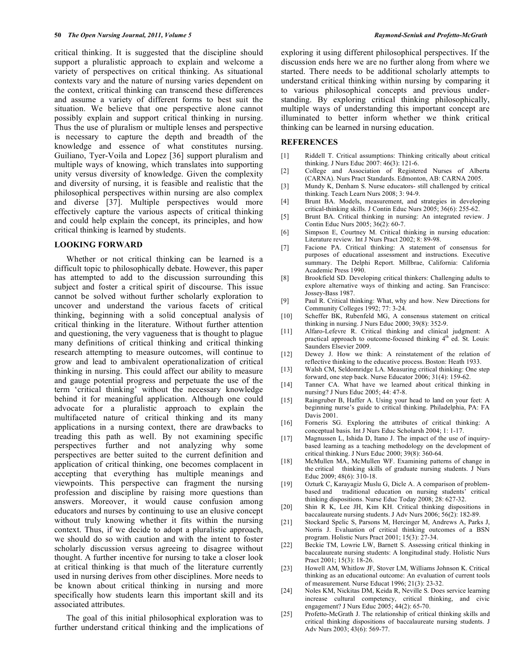critical thinking. It is suggested that the discipline should support a pluralistic approach to explain and welcome a variety of perspectives on critical thinking. As situational contexts vary and the nature of nursing varies dependent on the context, critical thinking can transcend these differences and assume a variety of different forms to best suit the situation. We believe that one perspective alone cannot possibly explain and support critical thinking in nursing. Thus the use of pluralism or multiple lenses and perspective is necessary to capture the depth and breadth of the knowledge and essence of what constitutes nursing. Guiliano, Tyer-Voila and Lopez [36] support pluralism and multiple ways of knowing, which translates into supporting unity versus diversity of knowledge. Given the complexity and diversity of nursing, it is feasible and realistic that the philosophical perspectives within nursing are also complex and diverse [37]. Multiple perspectives would more effectively capture the various aspects of critical thinking and could help explain the concept, its principles, and how critical thinking is learned by students.

#### **LOOKING FORWARD**

 Whether or not critical thinking can be learned is a difficult topic to philosophically debate. However, this paper has attempted to add to the discussion surrounding this subject and foster a critical spirit of discourse. This issue cannot be solved without further scholarly exploration to uncover and understand the various facets of critical thinking, beginning with a solid conceptual analysis of critical thinking in the literature. Without further attention and questioning, the very vagueness that is thought to plague many definitions of critical thinking and critical thinking research attempting to measure outcomes, will continue to grow and lead to ambivalent operationalization of critical thinking in nursing. This could affect our ability to measure and gauge potential progress and perpetuate the use of the term 'critical thinking' without the necessary knowledge behind it for meaningful application. Although one could advocate for a pluralistic approach to explain the multifaceted nature of critical thinking and its many applications in a nursing context, there are drawbacks to treading this path as well. By not examining specific perspectives further and not analyzing why some perspectives are better suited to the current definition and application of critical thinking, one becomes complacent in accepting that everything has multiple meanings and viewpoints. This perspective can fragment the nursing profession and discipline by raising more questions than answers. Moreover, it would cause confusion among educators and nurses by continuing to use an elusive concept without truly knowing whether it fits within the nursing context. Thus, if we decide to adopt a pluralistic approach, we should do so with caution and with the intent to foster scholarly discussion versus agreeing to disagree without thought. A further incentive for nursing to take a closer look at critical thinking is that much of the literature currently used in nursing derives from other disciplines. More needs to be known about critical thinking in nursing and more specifically how students learn this important skill and its associated attributes.

 The goal of this initial philosophical exploration was to further understand critical thinking and the implications of exploring it using different philosophical perspectives. If the discussion ends here we are no further along from where we started. There needs to be additional scholarly attempts to understand critical thinking within nursing by comparing it to various philosophical concepts and previous understanding. By exploring critical thinking philosophically, multiple ways of understanding this important concept are illuminated to better inform whether we think critical thinking can be learned in nursing education.

#### **REFERENCES**

- [1] Riddell T. Critical assumptions: Thinking critically about critical thinking. J Nurs Educ 2007: 46(3): 121-6.
- [2] College and Association of Registered Nurses of Alberta (CARNA). Nurs Pract Standards. Edmonton, AB: CARNA 2005.
- [3] Mundy K, Denham S. Nurse educators- still challenged by critical thinking. Teach Learn Nurs 2008; 3: 94-9.
- [4] Brunt BA. Models, measurement, and strategies in developing critical-thinking skills. J Contin Educ Nurs 2005; 36(6): 255-62.
- [5] Brunt BA. Critical thinking in nursing: An integrated review. J Contin Educ Nurs 2005; 36(2): 60-7.
- [6] Simpson E, Courtney M. Critical thinking in nursing education: Literature review. Int J Nurs Pract 2002; 8: 89-98.
- [7] Facione PA. Critical thinking: A statement of consensus for purposes of educational assessment and instructions. Executive summary. The Delphi Report. Millbrae, California: California Academic Press 1990.
- [8] Brookfield SD. Developing critical thinkers: Challenging adults to explore alternative ways of thinking and acting. San Francisco: Jossey-Bass 1987.
- [9] Paul R. Critical thinking: What, why and how. New Directions for Community Colleges 1992; 77: 3-24.
- [10] Scheffer BK, Rubenfeld MG, A consensus statement on critical thinking in nursing. J Nurs Educ 2000; 39(8): 352-9.
- [11] Alfaro-Lefevre R. Critical thinking and clinical judgment: A practical approach to outcome-focused thinking 4<sup>th</sup> ed. St. Louis: Saunders Elsevier 2009.
- [12] Dewey J. How we think: A reinstatement of the relation of reflective thinking to the educative process. Boston: Heath 1933.
- [13] Walsh CM, Seldomridge LA. Measuring critical thinking: One step forward, one step back. Nurse Educator 2006; 31(4): 159-62.
- [14] Tanner CA. What have we learned about critical thinking in nursing? J Nurs Educ 2005; 44: 47-8.
- [15] Raingruber B, Haffer A. Using your head to land on your feet: A beginning nurse's guide to critical thinking. Philadelphia, PA: FA Davis 2001.
- [16] Forneris SG. Exploring the attributes of critical thinking: A conceptual basis. Int J Nurs Educ Scholarsh 2004; 1: 1-17.
- [17] Magnussen L, Ishida D, Itano J. The impact of the use of inquirybased learning as a teaching methodology on the development of critical thinking. J Nurs Educ 2000; 39(8): 360-64.
- [18] McMullen MA, McMullen WF. Examining patterns of change in the critical thinking skills of graduate nursing students. J Nurs Educ 2009; 48(6): 310-18.
- [19] Ozturk C, Karayagiz Muslu G, Dicle A. A comparison of problembased and traditional education on nursing students' critical thinking dispositions. Nurse Educ Today 2008; 28: 627-32.
- [20] Shin R K, Lee JH, Kim KH. Critical thinking dispositions in baccalaureate nursing students. J Adv Nurs 2006; 56(2): 182-89.
- [21] Stockard Spelic S, Parsons M, Hercinger M, Andrews A, Parks J, Norris J. Evaluation of critical thinking outcomes of a BSN program. Holistic Nurs Pract 2001; 15(3): 27-34.
- [22] Beckie TM, Lowrie LW, Barnett S. Assessing critical thinking in baccalaureate nursing students: A longitudinal study. Holistic Nurs Pract 2001; 15(3): 18-26.
- [23] Howell AM, Whitlow JF, Stover LM, Williams Johnson K. Critical thinking as an educational outcome: An evaluation of current tools of measurement. Nurse Educat 1996; 21(3): 23-32.
- [24] Noles KM, Nickitas DM, Keida R, Neville S. Does service learning increase cultural competency, critical thinking, and civic engagement? J Nurs Educ 2005; 44(2): 65-70.
- [25] Profetto-McGrath J. The relationship of critical thinking skills and critical thinking dispositions of baccalaureate nursing students. J Adv Nurs 2003; 43(6): 569-77.